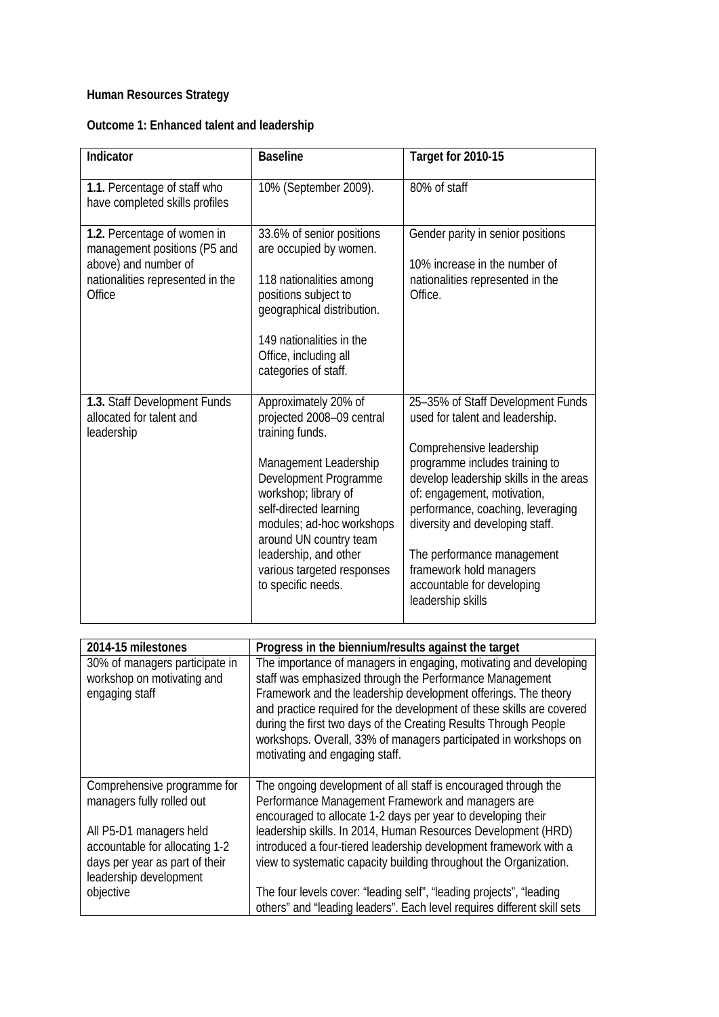## **Human Resources Strategy**

| Outcome 1: Enhanced talent and leadership |  |  |  |
|-------------------------------------------|--|--|--|
|-------------------------------------------|--|--|--|

| Indicator                                                                                                                         | <b>Baseline</b>                                                                                                                                                                                                                                                                                              | Target for 2010-15                                                                                                                                                                                                                                                                                                                                                                              |
|-----------------------------------------------------------------------------------------------------------------------------------|--------------------------------------------------------------------------------------------------------------------------------------------------------------------------------------------------------------------------------------------------------------------------------------------------------------|-------------------------------------------------------------------------------------------------------------------------------------------------------------------------------------------------------------------------------------------------------------------------------------------------------------------------------------------------------------------------------------------------|
| 1.1. Percentage of staff who<br>have completed skills profiles                                                                    | 10% (September 2009).                                                                                                                                                                                                                                                                                        | 80% of staff                                                                                                                                                                                                                                                                                                                                                                                    |
| 1.2. Percentage of women in<br>management positions (P5 and<br>above) and number of<br>nationalities represented in the<br>Office | 33.6% of senior positions<br>are occupied by women.<br>118 nationalities among<br>positions subject to<br>geographical distribution.<br>149 nationalities in the<br>Office, including all<br>categories of staff.                                                                                            | Gender parity in senior positions<br>10% increase in the number of<br>nationalities represented in the<br>Office.                                                                                                                                                                                                                                                                               |
| 1.3. Staff Development Funds<br>allocated for talent and<br>leadership                                                            | Approximately 20% of<br>projected 2008-09 central<br>training funds.<br>Management Leadership<br>Development Programme<br>workshop; library of<br>self-directed learning<br>modules; ad-hoc workshops<br>around UN country team<br>leadership, and other<br>various targeted responses<br>to specific needs. | 25-35% of Staff Development Funds<br>used for talent and leadership.<br>Comprehensive leadership<br>programme includes training to<br>develop leadership skills in the areas<br>of: engagement, motivation,<br>performance, coaching, leveraging<br>diversity and developing staff.<br>The performance management<br>framework hold managers<br>accountable for developing<br>leadership skills |

| 2014-15 milestones                                                                         | Progress in the biennium/results against the target                                                                                                                                                                                                                                                                                                                                                                                               |
|--------------------------------------------------------------------------------------------|---------------------------------------------------------------------------------------------------------------------------------------------------------------------------------------------------------------------------------------------------------------------------------------------------------------------------------------------------------------------------------------------------------------------------------------------------|
| 30% of managers participate in<br>workshop on motivating and<br>engaging staff             | The importance of managers in engaging, motivating and developing<br>staff was emphasized through the Performance Management<br>Framework and the leadership development offerings. The theory<br>and practice required for the development of these skills are covered<br>during the first two days of the Creating Results Through People<br>workshops. Overall, 33% of managers participated in workshops on<br>motivating and engaging staff. |
| Comprehensive programme for<br>managers fully rolled out<br>All P5-D1 managers held        | The ongoing development of all staff is encouraged through the<br>Performance Management Framework and managers are<br>encouraged to allocate 1-2 days per year to developing their<br>leadership skills. In 2014, Human Resources Development (HRD)                                                                                                                                                                                              |
| accountable for allocating 1-2<br>days per year as part of their<br>leadership development | introduced a four-tiered leadership development framework with a<br>view to systematic capacity building throughout the Organization.                                                                                                                                                                                                                                                                                                             |
| objective                                                                                  | The four levels cover: "leading self", "leading projects", "leading<br>others" and "leading leaders". Each level requires different skill sets                                                                                                                                                                                                                                                                                                    |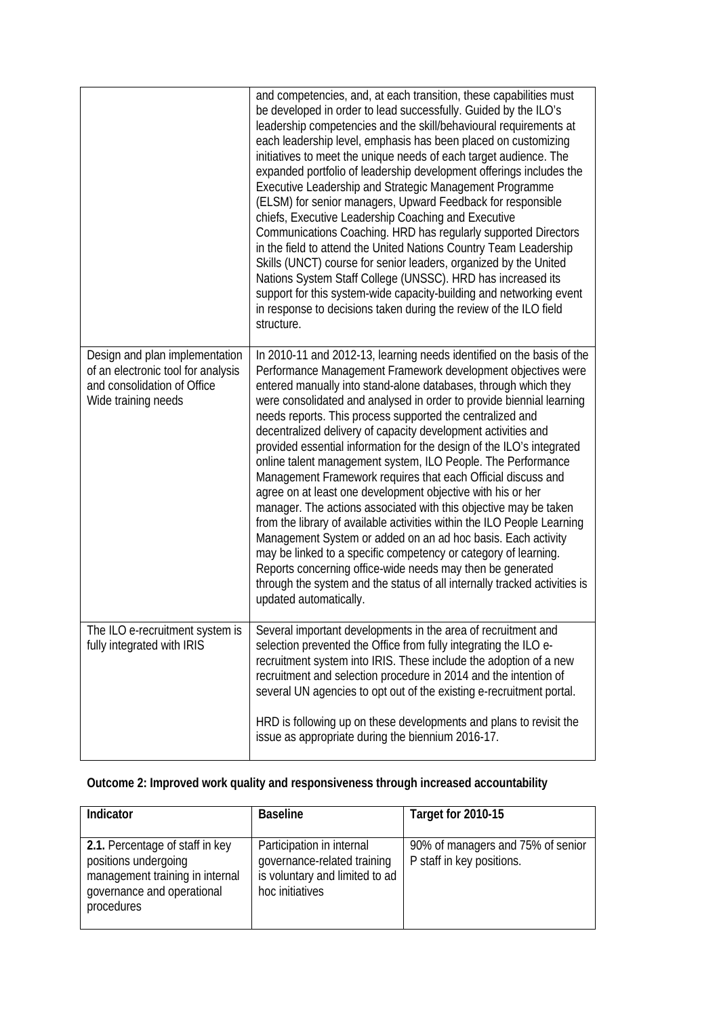|                                                                                                                            | and competencies, and, at each transition, these capabilities must<br>be developed in order to lead successfully. Guided by the ILO's<br>leadership competencies and the skill/behavioural requirements at<br>each leadership level, emphasis has been placed on customizing<br>initiatives to meet the unique needs of each target audience. The<br>expanded portfolio of leadership development offerings includes the<br>Executive Leadership and Strategic Management Programme<br>(ELSM) for senior managers, Upward Feedback for responsible<br>chiefs, Executive Leadership Coaching and Executive<br>Communications Coaching. HRD has regularly supported Directors<br>in the field to attend the United Nations Country Team Leadership<br>Skills (UNCT) course for senior leaders, organized by the United<br>Nations System Staff College (UNSSC). HRD has increased its<br>support for this system-wide capacity-building and networking event<br>in response to decisions taken during the review of the ILO field<br>structure.                                                                                                 |
|----------------------------------------------------------------------------------------------------------------------------|-----------------------------------------------------------------------------------------------------------------------------------------------------------------------------------------------------------------------------------------------------------------------------------------------------------------------------------------------------------------------------------------------------------------------------------------------------------------------------------------------------------------------------------------------------------------------------------------------------------------------------------------------------------------------------------------------------------------------------------------------------------------------------------------------------------------------------------------------------------------------------------------------------------------------------------------------------------------------------------------------------------------------------------------------------------------------------------------------------------------------------------------------|
| Design and plan implementation<br>of an electronic tool for analysis<br>and consolidation of Office<br>Wide training needs | In 2010-11 and 2012-13, learning needs identified on the basis of the<br>Performance Management Framework development objectives were<br>entered manually into stand-alone databases, through which they<br>were consolidated and analysed in order to provide biennial learning<br>needs reports. This process supported the centralized and<br>decentralized delivery of capacity development activities and<br>provided essential information for the design of the ILO's integrated<br>online talent management system, ILO People. The Performance<br>Management Framework requires that each Official discuss and<br>agree on at least one development objective with his or her<br>manager. The actions associated with this objective may be taken<br>from the library of available activities within the ILO People Learning<br>Management System or added on an ad hoc basis. Each activity<br>may be linked to a specific competency or category of learning.<br>Reports concerning office-wide needs may then be generated<br>through the system and the status of all internally tracked activities is<br>updated automatically. |
| The ILO e-recruitment system is<br>fully integrated with IRIS                                                              | Several important developments in the area of recruitment and<br>selection prevented the Office from fully integrating the ILO e-<br>recruitment system into IRIS. These include the adoption of a new<br>recruitment and selection procedure in 2014 and the intention of<br>several UN agencies to opt out of the existing e-recruitment portal.<br>HRD is following up on these developments and plans to revisit the<br>issue as appropriate during the biennium 2016-17.                                                                                                                                                                                                                                                                                                                                                                                                                                                                                                                                                                                                                                                                 |
|                                                                                                                            |                                                                                                                                                                                                                                                                                                                                                                                                                                                                                                                                                                                                                                                                                                                                                                                                                                                                                                                                                                                                                                                                                                                                               |

## **Outcome 2: Improved work quality and responsiveness through increased accountability**

| Indicator                                                                                                                              | <b>Baseline</b>                                                                                               | Target for 2010-15                                             |
|----------------------------------------------------------------------------------------------------------------------------------------|---------------------------------------------------------------------------------------------------------------|----------------------------------------------------------------|
| 2.1. Percentage of staff in key<br>positions undergoing<br>management training in internal<br>governance and operational<br>procedures | Participation in internal<br>governance-related training<br>is voluntary and limited to ad<br>hoc initiatives | 90% of managers and 75% of senior<br>P staff in key positions. |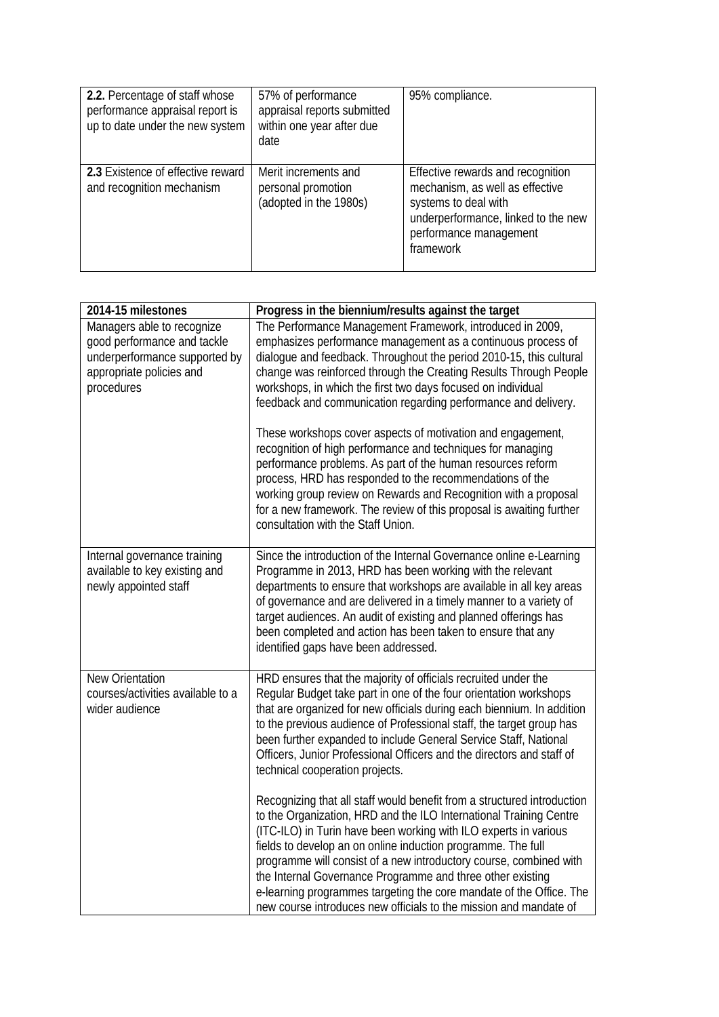| 2.2. Percentage of staff whose<br>performance appraisal report is<br>up to date under the new system | 57% of performance<br>appraisal reports submitted<br>within one year after due<br>date | 95% compliance.                                                                                                                                                            |
|------------------------------------------------------------------------------------------------------|----------------------------------------------------------------------------------------|----------------------------------------------------------------------------------------------------------------------------------------------------------------------------|
| 2.3 Existence of effective reward<br>and recognition mechanism                                       | Merit increments and<br>personal promotion<br>(adopted in the 1980s)                   | Effective rewards and recognition<br>mechanism, as well as effective<br>systems to deal with<br>underperformance, linked to the new<br>performance management<br>framework |

| 2014-15 milestones                                                                                                                   | Progress in the biennium/results against the target                                                                                                                                                                                                                                                                                                                                                                                                                                                                                                               |  |  |
|--------------------------------------------------------------------------------------------------------------------------------------|-------------------------------------------------------------------------------------------------------------------------------------------------------------------------------------------------------------------------------------------------------------------------------------------------------------------------------------------------------------------------------------------------------------------------------------------------------------------------------------------------------------------------------------------------------------------|--|--|
| Managers able to recognize<br>good performance and tackle<br>underperformance supported by<br>appropriate policies and<br>procedures | The Performance Management Framework, introduced in 2009,<br>emphasizes performance management as a continuous process of<br>dialogue and feedback. Throughout the period 2010-15, this cultural<br>change was reinforced through the Creating Results Through People<br>workshops, in which the first two days focused on individual<br>feedback and communication regarding performance and delivery.<br>These workshops cover aspects of motivation and engagement,                                                                                            |  |  |
|                                                                                                                                      | recognition of high performance and techniques for managing<br>performance problems. As part of the human resources reform<br>process, HRD has responded to the recommendations of the<br>working group review on Rewards and Recognition with a proposal<br>for a new framework. The review of this proposal is awaiting further<br>consultation with the Staff Union.                                                                                                                                                                                           |  |  |
| Internal governance training<br>available to key existing and<br>newly appointed staff                                               | Since the introduction of the Internal Governance online e-Learning<br>Programme in 2013, HRD has been working with the relevant<br>departments to ensure that workshops are available in all key areas<br>of governance and are delivered in a timely manner to a variety of<br>target audiences. An audit of existing and planned offerings has<br>been completed and action has been taken to ensure that any<br>identified gaps have been addressed.                                                                                                          |  |  |
| New Orientation<br>courses/activities available to a<br>wider audience                                                               | HRD ensures that the majority of officials recruited under the<br>Regular Budget take part in one of the four orientation workshops<br>that are organized for new officials during each biennium. In addition<br>to the previous audience of Professional staff, the target group has<br>been further expanded to include General Service Staff, National<br>Officers, Junior Professional Officers and the directors and staff of<br>technical cooperation projects.                                                                                             |  |  |
|                                                                                                                                      | Recognizing that all staff would benefit from a structured introduction<br>to the Organization, HRD and the ILO International Training Centre<br>(ITC-ILO) in Turin have been working with ILO experts in various<br>fields to develop an on online induction programme. The full<br>programme will consist of a new introductory course, combined with<br>the Internal Governance Programme and three other existing<br>e-learning programmes targeting the core mandate of the Office. The<br>new course introduces new officials to the mission and mandate of |  |  |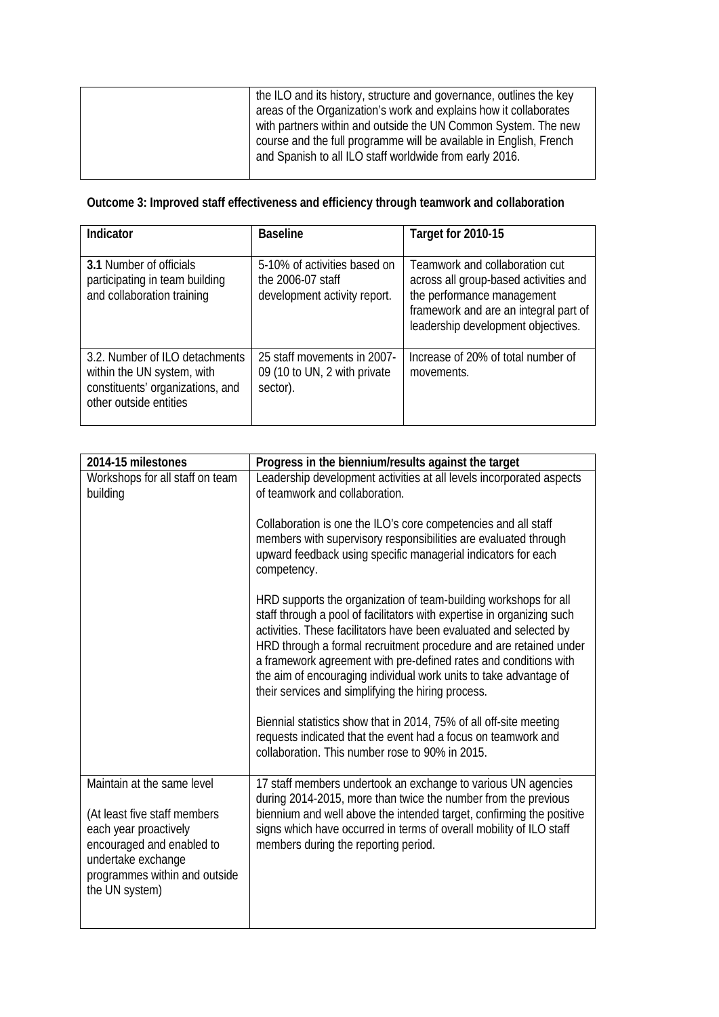## **Outcome 3: Improved staff effectiveness and efficiency through teamwork and collaboration**

| Indicator                                                                                                                  | <b>Baseline</b>                                                                   | Target for 2010-15                                                                                                                                                                   |
|----------------------------------------------------------------------------------------------------------------------------|-----------------------------------------------------------------------------------|--------------------------------------------------------------------------------------------------------------------------------------------------------------------------------------|
| <b>3.1 Number of officials</b><br>participating in team building<br>and collaboration training                             | 5-10% of activities based on<br>the 2006-07 staff<br>development activity report. | Teamwork and collaboration cut<br>across all group-based activities and<br>the performance management<br>framework and are an integral part of<br>leadership development objectives. |
| 3.2. Number of ILO detachments<br>within the UN system, with<br>constituents' organizations, and<br>other outside entities | 25 staff movements in 2007-<br>09 (10 to UN, 2 with private<br>sector).           | Increase of 20% of total number of<br>movements.                                                                                                                                     |

| 2014-15 milestones                                                                                                                                                                        | Progress in the biennium/results against the target                                                                                                                                                                                                                                                                                                                                                                                                                                  |
|-------------------------------------------------------------------------------------------------------------------------------------------------------------------------------------------|--------------------------------------------------------------------------------------------------------------------------------------------------------------------------------------------------------------------------------------------------------------------------------------------------------------------------------------------------------------------------------------------------------------------------------------------------------------------------------------|
| Workshops for all staff on team<br>building                                                                                                                                               | Leadership development activities at all levels incorporated aspects<br>of teamwork and collaboration.                                                                                                                                                                                                                                                                                                                                                                               |
|                                                                                                                                                                                           | Collaboration is one the ILO's core competencies and all staff<br>members with supervisory responsibilities are evaluated through<br>upward feedback using specific managerial indicators for each<br>competency.                                                                                                                                                                                                                                                                    |
|                                                                                                                                                                                           | HRD supports the organization of team-building workshops for all<br>staff through a pool of facilitators with expertise in organizing such<br>activities. These facilitators have been evaluated and selected by<br>HRD through a formal recruitment procedure and are retained under<br>a framework agreement with pre-defined rates and conditions with<br>the aim of encouraging individual work units to take advantage of<br>their services and simplifying the hiring process. |
|                                                                                                                                                                                           | Biennial statistics show that in 2014, 75% of all off-site meeting<br>requests indicated that the event had a focus on teamwork and<br>collaboration. This number rose to 90% in 2015.                                                                                                                                                                                                                                                                                               |
| Maintain at the same level<br>(At least five staff members<br>each year proactively<br>encouraged and enabled to<br>undertake exchange<br>programmes within and outside<br>the UN system) | 17 staff members undertook an exchange to various UN agencies<br>during 2014-2015, more than twice the number from the previous<br>biennium and well above the intended target, confirming the positive<br>signs which have occurred in terms of overall mobility of ILO staff<br>members during the reporting period.                                                                                                                                                               |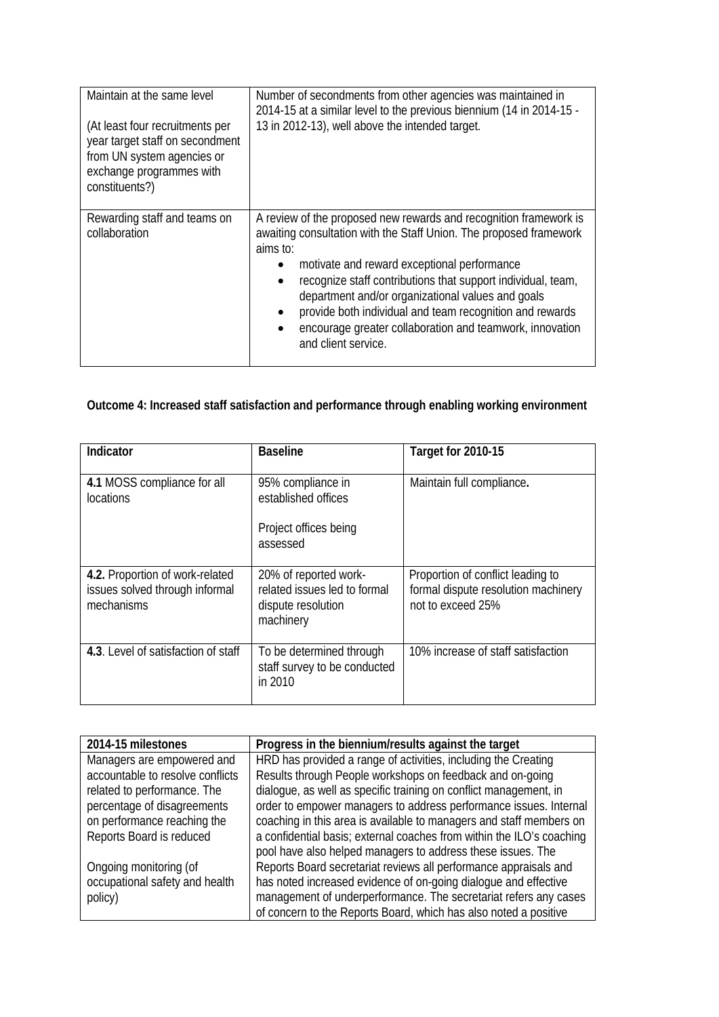| Maintain at the same level<br>(At least four recruitments per<br>year target staff on secondment<br>from UN system agencies or<br>exchange programmes with<br>constituents?) | Number of secondments from other agencies was maintained in<br>2014-15 at a similar level to the previous biennium (14 in 2014-15 -<br>13 in 2012-13), well above the intended target.                                                                                                                                                                                                                                                                                      |
|------------------------------------------------------------------------------------------------------------------------------------------------------------------------------|-----------------------------------------------------------------------------------------------------------------------------------------------------------------------------------------------------------------------------------------------------------------------------------------------------------------------------------------------------------------------------------------------------------------------------------------------------------------------------|
| Rewarding staff and teams on<br>collaboration                                                                                                                                | A review of the proposed new rewards and recognition framework is<br>awaiting consultation with the Staff Union. The proposed framework<br>aims to:<br>motivate and reward exceptional performance<br>٠<br>recognize staff contributions that support individual, team,<br>department and/or organizational values and goals<br>provide both individual and team recognition and rewards<br>encourage greater collaboration and teamwork, innovation<br>and client service. |

## **Outcome 4: Increased staff satisfaction and performance through enabling working environment**

| Indicator                                                                       | <b>Baseline</b>                                                                          | Target for 2010-15                                                                            |
|---------------------------------------------------------------------------------|------------------------------------------------------------------------------------------|-----------------------------------------------------------------------------------------------|
| 4.1 MOSS compliance for all<br><i>locations</i>                                 | 95% compliance in<br>established offices                                                 | Maintain full compliance.                                                                     |
|                                                                                 | Project offices being<br>assessed                                                        |                                                                                               |
| 4.2. Proportion of work-related<br>issues solved through informal<br>mechanisms | 20% of reported work-<br>related issues led to formal<br>dispute resolution<br>machinery | Proportion of conflict leading to<br>formal dispute resolution machinery<br>not to exceed 25% |
| 4.3. Level of satisfaction of staff                                             | To be determined through<br>staff survey to be conducted<br>in 2010                      | 10% increase of staff satisfaction                                                            |

| 2014-15 milestones               | Progress in the biennium/results against the target                   |
|----------------------------------|-----------------------------------------------------------------------|
| Managers are empowered and       | HRD has provided a range of activities, including the Creating        |
| accountable to resolve conflicts | Results through People workshops on feedback and on-going             |
| related to performance. The      | dialogue, as well as specific training on conflict management, in     |
| percentage of disagreements      | order to empower managers to address performance issues. Internal     |
| on performance reaching the      | coaching in this area is available to managers and staff members on   |
| Reports Board is reduced         | a confidential basis; external coaches from within the ILO's coaching |
|                                  | pool have also helped managers to address these issues. The           |
| Ongoing monitoring (of           | Reports Board secretariat reviews all performance appraisals and      |
| occupational safety and health   | has noted increased evidence of on-going dialogue and effective       |
| policy)                          | management of underperformance. The secretariat refers any cases      |
|                                  | of concern to the Reports Board, which has also noted a positive      |